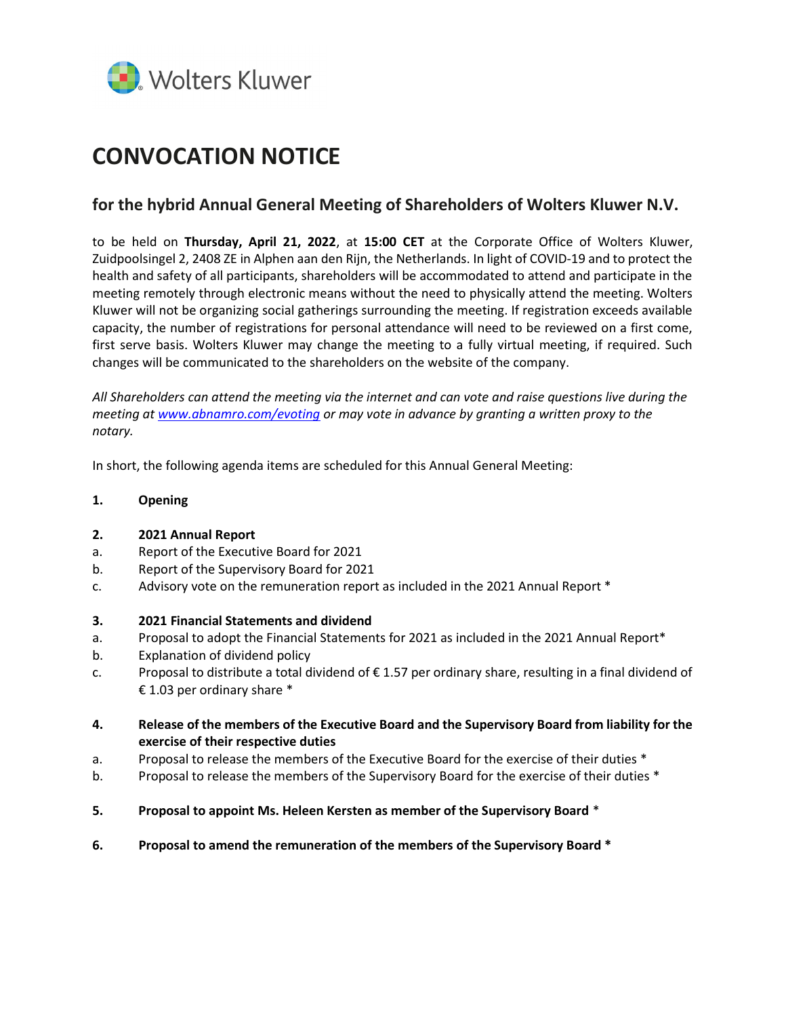

# CONVOCATION NOTICE

# for the hybrid Annual General Meeting of Shareholders of Wolters Kluwer N.V.

to be held on Thursday, April 21, 2022, at 15:00 CET at the Corporate Office of Wolters Kluwer, Zuidpoolsingel 2, 2408 ZE in Alphen aan den Rijn, the Netherlands. In light of COVID-19 and to protect the health and safety of all participants, shareholders will be accommodated to attend and participate in the meeting remotely through electronic means without the need to physically attend the meeting. Wolters Kluwer will not be organizing social gatherings surrounding the meeting. If registration exceeds available capacity, the number of registrations for personal attendance will need to be reviewed on a first come, first serve basis. Wolters Kluwer may change the meeting to a fully virtual meeting, if required. Such changes will be communicated to the shareholders on the website of the company.

All Shareholders can attend the meeting via the internet and can vote and raise questions live during the meeting at www.abnamro.com/evoting or may vote in advance by granting a written proxy to the notary.

In short, the following agenda items are scheduled for this Annual General Meeting:

# 1. Opening

# 2. 2021 Annual Report

- a. Report of the Executive Board for 2021
- b. Report of the Supervisory Board for 2021
- c. Advisory vote on the remuneration report as included in the 2021 Annual Report \*

# 3. 2021 Financial Statements and dividend

- a. Proposal to adopt the Financial Statements for 2021 as included in the 2021 Annual Report\*
- b. Explanation of dividend policy
- c. Proposal to distribute a total dividend of € 1.57 per ordinary share, resulting in a final dividend of € 1.03 per ordinary share  $*$
- 4. Release of the members of the Executive Board and the Supervisory Board from liability for the exercise of their respective duties
- a. Proposal to release the members of the Executive Board for the exercise of their duties \*
- b. Proposal to release the members of the Supervisory Board for the exercise of their duties \*
- 5. Proposal to appoint Ms. Heleen Kersten as member of the Supervisory Board \*
- 6. Proposal to amend the remuneration of the members of the Supervisory Board \*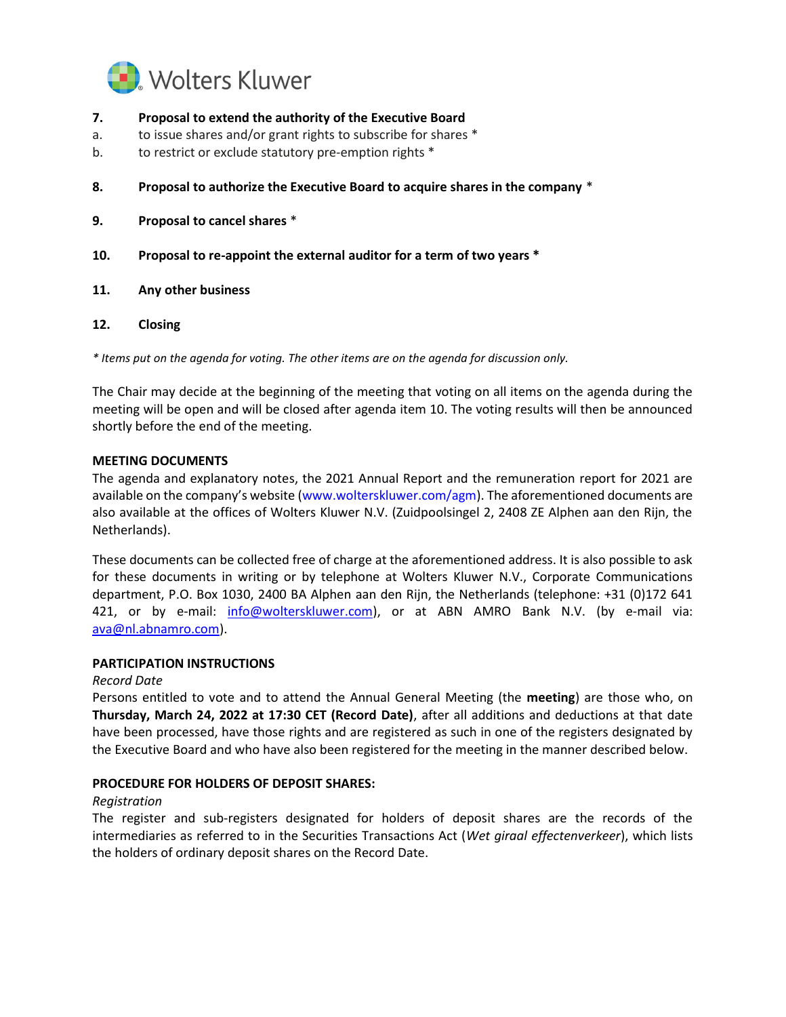

- 7. Proposal to extend the authority of the Executive Board
- a. to issue shares and/or grant rights to subscribe for shares \*
- b. to restrict or exclude statutory pre-emption rights \*
- 8. Proposal to authorize the Executive Board to acquire shares in the company \*
- 9. Proposal to cancel shares \*
- 10. Proposal to re-appoint the external auditor for a term of two years \*
- 11. Any other business
- 12. Closing

\* Items put on the agenda for voting. The other items are on the agenda for discussion only.

The Chair may decide at the beginning of the meeting that voting on all items on the agenda during the meeting will be open and will be closed after agenda item 10. The voting results will then be announced shortly before the end of the meeting.

#### MEETING DOCUMENTS

The agenda and explanatory notes, the 2021 Annual Report and the remuneration report for 2021 are available on the company's website (www.wolterskluwer.com/agm). The aforementioned documents are also available at the offices of Wolters Kluwer N.V. (Zuidpoolsingel 2, 2408 ZE Alphen aan den Rijn, the Netherlands).

These documents can be collected free of charge at the aforementioned address. It is also possible to ask for these documents in writing or by telephone at Wolters Kluwer N.V., Corporate Communications department, P.O. Box 1030, 2400 BA Alphen aan den Rijn, the Netherlands (telephone: +31 (0)172 641 421, or by e-mail: **info@wolterskluwer.com**), or at ABN AMRO Bank N.V. (by e-mail via: ava@nl.abnamro.com).

#### PARTICIPATION INSTRUCTIONS

#### Record Date

Persons entitled to vote and to attend the Annual General Meeting (the meeting) are those who, on Thursday, March 24, 2022 at 17:30 CET (Record Date), after all additions and deductions at that date have been processed, have those rights and are registered as such in one of the registers designated by the Executive Board and who have also been registered for the meeting in the manner described below.

#### PROCEDURE FOR HOLDERS OF DEPOSIT SHARES:

#### Registration

The register and sub-registers designated for holders of deposit shares are the records of the intermediaries as referred to in the Securities Transactions Act (Wet giraal effectenverkeer), which lists the holders of ordinary deposit shares on the Record Date.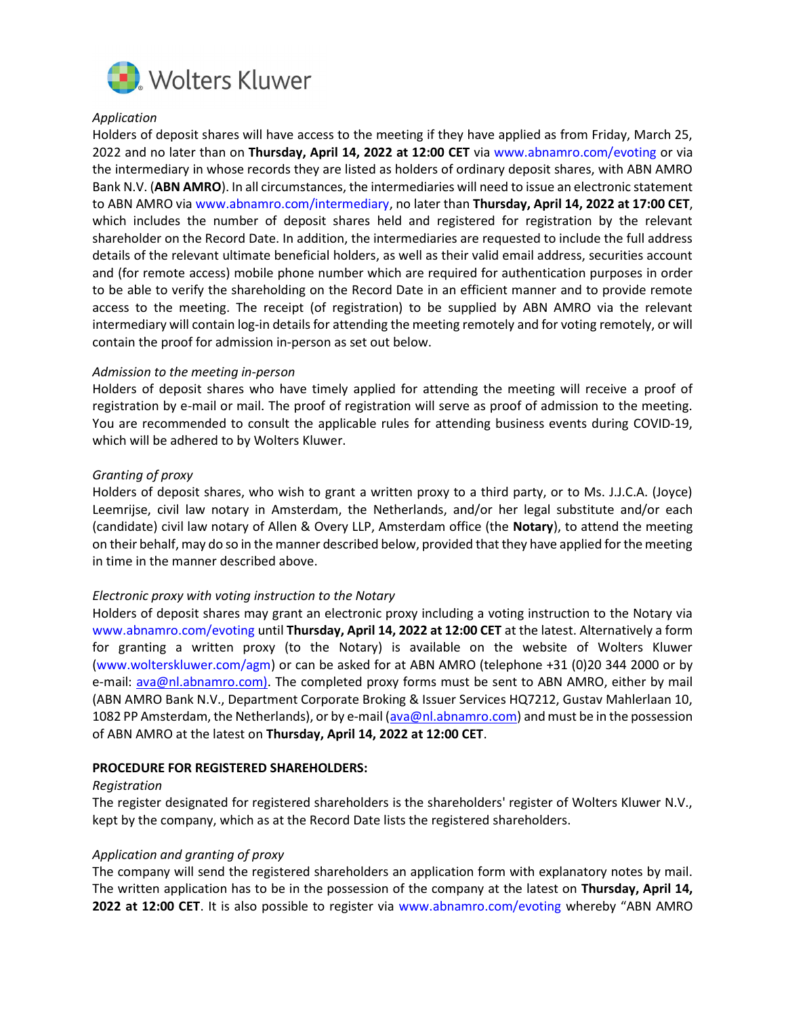

# Application

Holders of deposit shares will have access to the meeting if they have applied as from Friday, March 25, 2022 and no later than on Thursday, April 14, 2022 at 12:00 CET via www.abnamro.com/evoting or via the intermediary in whose records they are listed as holders of ordinary deposit shares, with ABN AMRO Bank N.V. (ABN AMRO). In all circumstances, the intermediaries will need to issue an electronic statement to ABN AMRO via www.abnamro.com/intermediary, no later than Thursday, April 14, 2022 at 17:00 CET, which includes the number of deposit shares held and registered for registration by the relevant shareholder on the Record Date. In addition, the intermediaries are requested to include the full address details of the relevant ultimate beneficial holders, as well as their valid email address, securities account and (for remote access) mobile phone number which are required for authentication purposes in order to be able to verify the shareholding on the Record Date in an efficient manner and to provide remote access to the meeting. The receipt (of registration) to be supplied by ABN AMRO via the relevant intermediary will contain log-in details for attending the meeting remotely and for voting remotely, or will contain the proof for admission in-person as set out below.

#### Admission to the meeting in-person

Holders of deposit shares who have timely applied for attending the meeting will receive a proof of registration by e-mail or mail. The proof of registration will serve as proof of admission to the meeting. You are recommended to consult the applicable rules for attending business events during COVID-19, which will be adhered to by Wolters Kluwer.

# Granting of proxy

Holders of deposit shares, who wish to grant a written proxy to a third party, or to Ms. J.J.C.A. (Joyce) Leemrijse, civil law notary in Amsterdam, the Netherlands, and/or her legal substitute and/or each (candidate) civil law notary of Allen & Overy LLP, Amsterdam office (the Notary), to attend the meeting on their behalf, may do so in the manner described below, provided that they have applied for the meeting in time in the manner described above.

# Electronic proxy with voting instruction to the Notary

Holders of deposit shares may grant an electronic proxy including a voting instruction to the Notary via www.abnamro.com/evoting until Thursday, April 14, 2022 at 12:00 CET at the latest. Alternatively a form for granting a written proxy (to the Notary) is available on the website of Wolters Kluwer (www.wolterskluwer.com/agm) or can be asked for at ABN AMRO (telephone +31 (0)20 344 2000 or by e-mail: ava@nl.abnamro.com). The completed proxy forms must be sent to ABN AMRO, either by mail (ABN AMRO Bank N.V., Department Corporate Broking & Issuer Services HQ7212, Gustav Mahlerlaan 10, 1082 PP Amsterdam, the Netherlands), or by e-mail (ava@nl.abnamro.com) and must be in the possession of ABN AMRO at the latest on Thursday, April 14, 2022 at 12:00 CET.

#### PROCEDURE FOR REGISTERED SHAREHOLDERS:

#### Registration

The register designated for registered shareholders is the shareholders' register of Wolters Kluwer N.V., kept by the company, which as at the Record Date lists the registered shareholders.

#### Application and granting of proxy

The company will send the registered shareholders an application form with explanatory notes by mail. The written application has to be in the possession of the company at the latest on Thursday, April 14, 2022 at 12:00 CET. It is also possible to register via www.abnamro.com/evoting whereby "ABN AMRO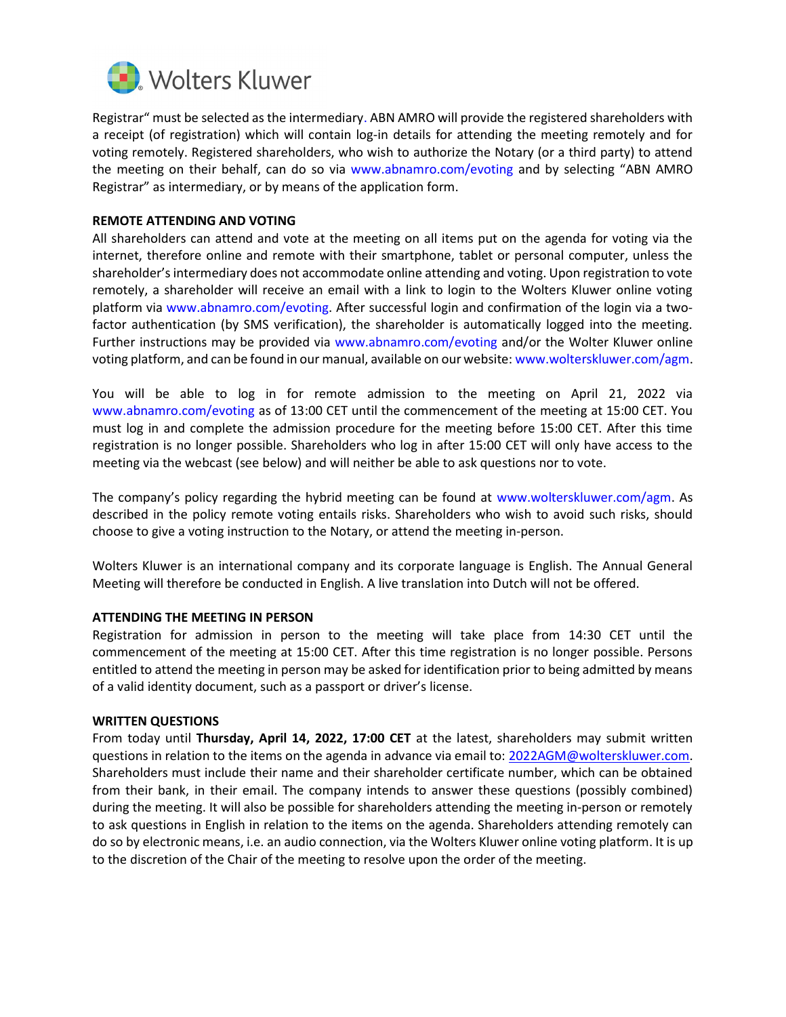

Registrar" must be selected as the intermediary. ABN AMRO will provide the registered shareholders with a receipt (of registration) which will contain log-in details for attending the meeting remotely and for voting remotely. Registered shareholders, who wish to authorize the Notary (or a third party) to attend the meeting on their behalf, can do so via www.abnamro.com/evoting and by selecting "ABN AMRO Registrar" as intermediary, or by means of the application form.

# REMOTE ATTENDING AND VOTING

All shareholders can attend and vote at the meeting on all items put on the agenda for voting via the internet, therefore online and remote with their smartphone, tablet or personal computer, unless the shareholder's intermediary does not accommodate online attending and voting. Upon registration to vote remotely, a shareholder will receive an email with a link to login to the Wolters Kluwer online voting platform via www.abnamro.com/evoting. After successful login and confirmation of the login via a twofactor authentication (by SMS verification), the shareholder is automatically logged into the meeting. Further instructions may be provided via www.abnamro.com/evoting and/or the Wolter Kluwer online voting platform, and can be found in our manual, available on our website: www.wolterskluwer.com/agm.

You will be able to log in for remote admission to the meeting on April 21, 2022 via www.abnamro.com/evoting as of 13:00 CET until the commencement of the meeting at 15:00 CET. You must log in and complete the admission procedure for the meeting before 15:00 CET. After this time registration is no longer possible. Shareholders who log in after 15:00 CET will only have access to the meeting via the webcast (see below) and will neither be able to ask questions nor to vote.

The company's policy regarding the hybrid meeting can be found at www.wolterskluwer.com/agm. As described in the policy remote voting entails risks. Shareholders who wish to avoid such risks, should choose to give a voting instruction to the Notary, or attend the meeting in-person.

Wolters Kluwer is an international company and its corporate language is English. The Annual General Meeting will therefore be conducted in English. A live translation into Dutch will not be offered.

# ATTENDING THE MEETING IN PERSON

Registration for admission in person to the meeting will take place from 14:30 CET until the commencement of the meeting at 15:00 CET. After this time registration is no longer possible. Persons entitled to attend the meeting in person may be asked for identification prior to being admitted by means of a valid identity document, such as a passport or driver's license.

#### WRITTEN QUESTIONS

From today until Thursday, April 14, 2022, 17:00 CET at the latest, shareholders may submit written questions in relation to the items on the agenda in advance via email to: 2022AGM@wolterskluwer.com. Shareholders must include their name and their shareholder certificate number, which can be obtained from their bank, in their email. The company intends to answer these questions (possibly combined) during the meeting. It will also be possible for shareholders attending the meeting in-person or remotely to ask questions in English in relation to the items on the agenda. Shareholders attending remotely can do so by electronic means, i.e. an audio connection, via the Wolters Kluwer online voting platform. It is up to the discretion of the Chair of the meeting to resolve upon the order of the meeting.